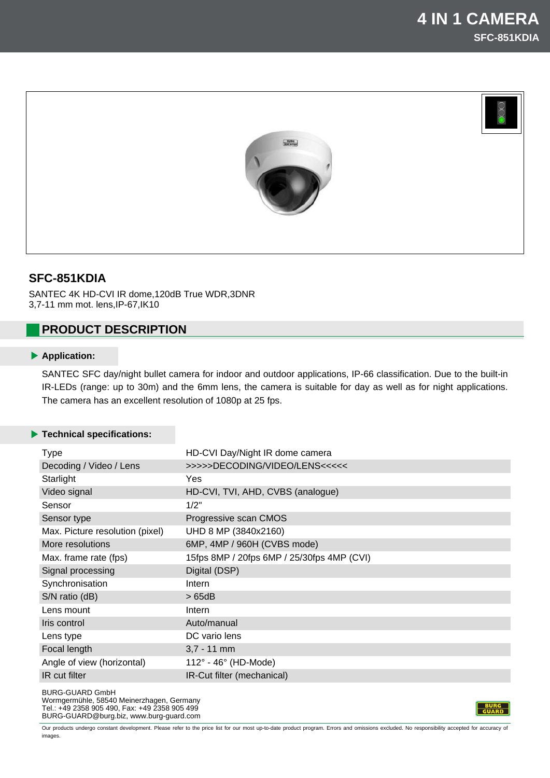

# **SFC-851KDIA**

SANTEC 4K HD-CVI IR dome,120dB True WDR,3DNR 3,7-11 mm mot. lens,IP-67,IK10

## **PRODUCT DESCRIPTION**

## **Application:**

SANTEC SFC day/night bullet camera for indoor and outdoor applications, IP-66 classification. Due to the built-in IR-LEDs (range: up to 30m) and the 6mm lens, the camera is suitable for day as well as for night applications. The camera has an excellent resolution of 1080p at 25 fps.

### **Technical specifications:**

| <b>Type</b>                     | HD-CVI Day/Night IR dome camera            |
|---------------------------------|--------------------------------------------|
| Decoding / Video / Lens         | >>>>>DECODING/VIDEO/LENS<<<<<              |
| Starlight                       | <b>Yes</b>                                 |
| Video signal                    | HD-CVI, TVI, AHD, CVBS (analogue)          |
| Sensor                          | 1/2"                                       |
| Sensor type                     | Progressive scan CMOS                      |
| Max. Picture resolution (pixel) | UHD 8 MP (3840x2160)                       |
| More resolutions                | 6MP, 4MP / 960H (CVBS mode)                |
| Max. frame rate (fps)           | 15fps 8MP / 20fps 6MP / 25/30fps 4MP (CVI) |
| Signal processing               | Digital (DSP)                              |
| Synchronisation                 | Intern                                     |
| S/N ratio (dB)                  | >65dB                                      |
| Lens mount                      | Intern                                     |
| Iris control                    | Auto/manual                                |
| Lens type                       | DC vario lens                              |
| Focal length                    | $3,7 - 11$ mm                              |
| Angle of view (horizontal)      | $112^\circ$ - 46 $^\circ$ (HD-Mode)        |
| IR cut filter                   | IR-Cut filter (mechanical)                 |
| <b>BURG-GUARD GmbH</b>          |                                            |

Wormgermühle, 58540 Meinerzhagen, Germany Tel.: +49 2358 905 490, Fax: +49 2358 905 499 BURG-GUARD@burg.biz, www.burg-guard.com

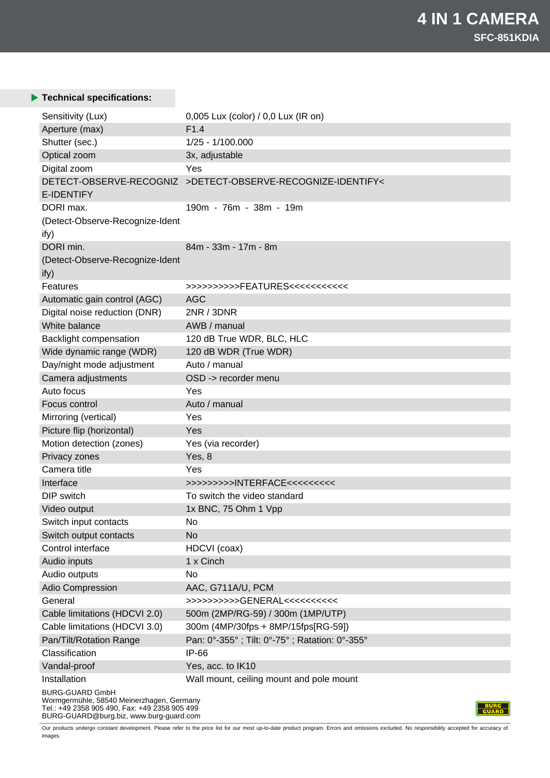## **Technical specifications:**

| Sensitivity (Lux)                                                   | 0,005 Lux (color) / 0,0 Lux (IR on)                         |  |
|---------------------------------------------------------------------|-------------------------------------------------------------|--|
| Aperture (max)                                                      | F <sub>1.4</sub>                                            |  |
| Shutter (sec.)                                                      | 1/25 - 1/100.000                                            |  |
| Optical zoom                                                        | 3x, adjustable                                              |  |
| Digital zoom                                                        | Yes                                                         |  |
| <b>E-IDENTIFY</b>                                                   | DETECT-OBSERVE-RECOGNIZ >DETECT-OBSERVE-RECOGNIZE-IDENTIFY< |  |
| DORI max.                                                           | 190m - 76m - 38m - 19m                                      |  |
| (Detect-Observe-Recognize-Ident                                     |                                                             |  |
| ify)                                                                |                                                             |  |
| DORI min.                                                           | 84m - 33m - 17m - 8m                                        |  |
| (Detect-Observe-Recognize-Ident                                     |                                                             |  |
| ify)                                                                |                                                             |  |
| Features                                                            | >>>>>>>>>>FEATURES<<<<<<<<<<                                |  |
| Automatic gain control (AGC)                                        | <b>AGC</b>                                                  |  |
| Digital noise reduction (DNR)                                       | 2NR / 3DNR                                                  |  |
| White balance                                                       | AWB / manual                                                |  |
| Backlight compensation                                              | 120 dB True WDR, BLC, HLC                                   |  |
| Wide dynamic range (WDR)                                            | 120 dB WDR (True WDR)                                       |  |
| Day/night mode adjustment                                           | Auto / manual                                               |  |
| Camera adjustments                                                  | OSD -> recorder menu                                        |  |
| Auto focus                                                          | Yes                                                         |  |
| Focus control                                                       | Auto / manual                                               |  |
| Mirroring (vertical)                                                | Yes                                                         |  |
| Picture flip (horizontal)                                           | Yes                                                         |  |
| Motion detection (zones)                                            | Yes (via recorder)                                          |  |
| Privacy zones                                                       | Yes, 8                                                      |  |
| Camera title                                                        | Yes                                                         |  |
| Interface                                                           | >>>>>>>>>NTERFACE<<<<<<<<                                   |  |
| DIP switch                                                          | To switch the video standard                                |  |
| Video output                                                        | 1x BNC, 75 Ohm 1 Vpp                                        |  |
| Switch input contacts                                               | No                                                          |  |
| Switch output contacts                                              | <b>No</b>                                                   |  |
| Control interface                                                   | HDCVI (coax)                                                |  |
| Audio inputs                                                        | 1 x Cinch                                                   |  |
| Audio outputs                                                       | No                                                          |  |
| Adio Compression                                                    | AAC, G711A/U, PCM                                           |  |
| General                                                             | >>>>>>>>>>GENERAL<<<<<<<<                                   |  |
| Cable limitations (HDCVI 2.0)                                       | 500m (2MP/RG-59) / 300m (1MP/UTP)                           |  |
| Cable limitations (HDCVI 3.0)                                       | 300m (4MP/30fps + 8MP/15fps[RG-59])                         |  |
| Pan/Tilt/Rotation Range                                             | Pan: 0°-355°; Tilt: 0°-75°; Ratation: 0°-355°               |  |
| Classification                                                      | IP-66                                                       |  |
| Vandal-proof                                                        | Yes, acc. to IK10                                           |  |
| Installation                                                        | Wall mount, ceiling mount and pole mount                    |  |
| <b>BURG-GUARD GmbH</b><br>Wormgermühle, 58540 Meinerzhagen, Germany |                                                             |  |

Tel.: +49 2358 905 490, Fax: +49 2358 905 499

BURG-GUARD@burg.biz, www.burg-guard.com

**BURG**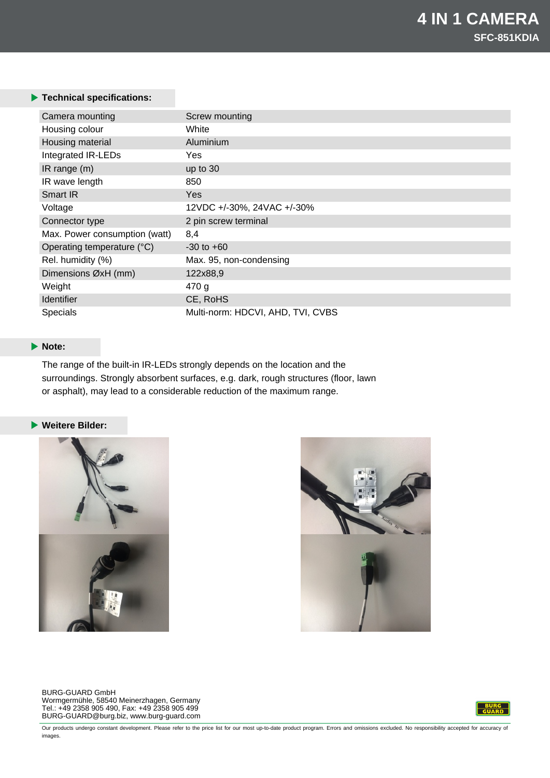### **Technical specifications:**

| Camera mounting               | Screw mounting                    |
|-------------------------------|-----------------------------------|
| Housing colour                | White                             |
| Housing material              | Aluminium                         |
| Integrated IR-LEDs            | Yes                               |
| IR range $(m)$                | up to 30                          |
| IR wave length                | 850                               |
| Smart IR                      | Yes                               |
| Voltage                       | 12VDC +/-30%, 24VAC +/-30%        |
| Connector type                | 2 pin screw terminal              |
| Max. Power consumption (watt) | 8,4                               |
| Operating temperature (°C)    | $-30$ to $+60$                    |
| Rel. humidity (%)             | Max. 95, non-condensing           |
| Dimensions ØxH (mm)           | 122x88,9                          |
| Weight                        | 470 g                             |
| <b>Identifier</b>             | CE, RoHS                          |
| Specials                      | Multi-norm: HDCVI, AHD, TVI, CVBS |

## **Note:**

The range of the built-in IR-LEDs strongly depends on the location and the surroundings. Strongly absorbent surfaces, e.g. dark, rough structures (floor, lawn or asphalt), may lead to a considerable reduction of the maximum range.

#### **Weitere Bilder:**





BURG-GUARD GmbH Wormgermühle, 58540 Meinerzhagen, Germany Tel.: +49 2358 905 490, Fax: +49 2358 905 499 BURG-GUARD@burg.biz, www.burg-guard.com